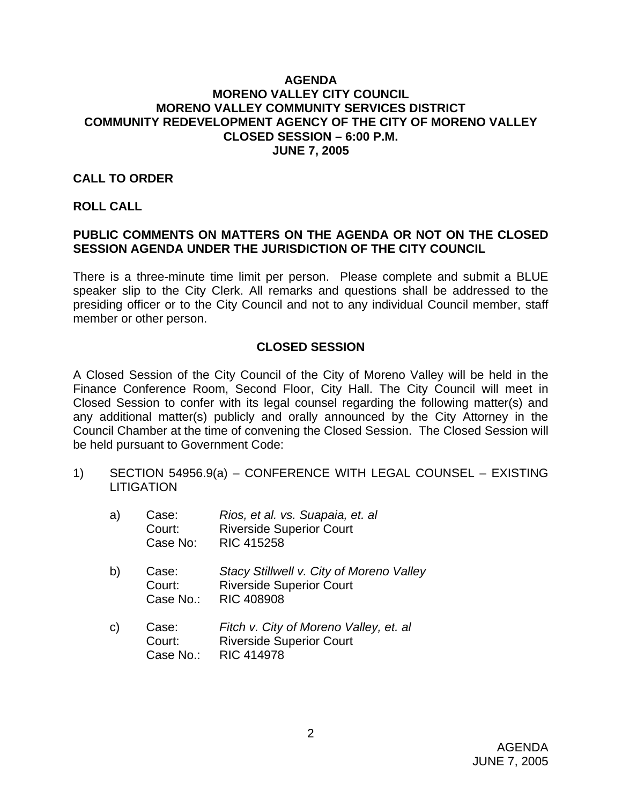### **AGENDA MORENO VALLEY CITY COUNCIL MORENO VALLEY COMMUNITY SERVICES DISTRICT COMMUNITY REDEVELOPMENT AGENCY OF THE CITY OF MORENO VALLEY CLOSED SESSION – 6:00 P.M. JUNE 7, 2005**

### **CALL TO ORDER**

#### **ROLL CALL**

## **PUBLIC COMMENTS ON MATTERS ON THE AGENDA OR NOT ON THE CLOSED SESSION AGENDA UNDER THE JURISDICTION OF THE CITY COUNCIL**

There is a three-minute time limit per person. Please complete and submit a BLUE speaker slip to the City Clerk. All remarks and questions shall be addressed to the presiding officer or to the City Council and not to any individual Council member, staff member or other person.

## **CLOSED SESSION**

A Closed Session of the City Council of the City of Moreno Valley will be held in the Finance Conference Room, Second Floor, City Hall. The City Council will meet in Closed Session to confer with its legal counsel regarding the following matter(s) and any additional matter(s) publicly and orally announced by the City Attorney in the Council Chamber at the time of convening the Closed Session. The Closed Session will be held pursuant to Government Code:

1) SECTION 54956.9(a) – CONFERENCE WITH LEGAL COUNSEL – EXISTING **LITIGATION** 

| a)           | Case:<br>Court:<br>Case No:  | Rios, et al. vs. Suapaia, et. al<br><b>Riverside Superior Court</b><br><b>RIC 415258</b>         |
|--------------|------------------------------|--------------------------------------------------------------------------------------------------|
| b)           | Case:<br>Court:<br>Case No.: | Stacy Stillwell v. City of Moreno Valley<br><b>Riverside Superior Court</b><br><b>RIC 408908</b> |
| $\mathsf{C}$ | Case:<br>Court:<br>Case No.: | Fitch v. City of Moreno Valley, et. al<br><b>Riverside Superior Court</b><br><b>RIC 414978</b>   |